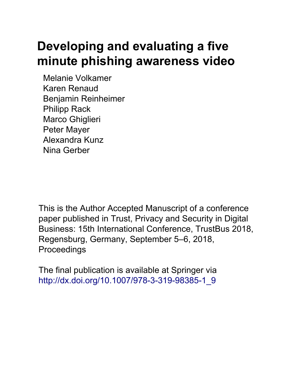# **Developing and evaluating a five minute phishing awareness video**

Melanie Volkamer Karen Renaud Benjamin Reinheimer Philipp Rack Marco Ghiglieri Peter Mayer Alexandra Kunz Nina Gerber

This is the Author Accepted Manuscript of a conference paper published in Trust, Privacy and Security in Digital Business: 15th International Conference, TrustBus 2018, Regensburg, Germany, September 5–6, 2018, Proceedings

The final publication is available at Springer via [http://dx.doi.org/10.1007/978-3-319-98385-1\\_9](http://dx.doi.org/10.1007/978-3-319-98385-1_9)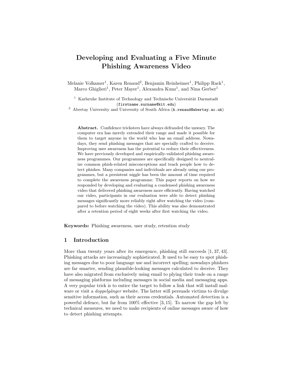# Developing and Evaluating a Five Minute Phishing Awareness Video

Melanie Volkamer<sup>1</sup>, Karen Renaud<sup>2</sup>, Benjamin Reinheimer<sup>1</sup>, Philipp Rack<sup>1</sup>, Marco Ghiglieri<sup>1</sup>, Peter Mayer<sup>1</sup>, Alexandra Kunz<sup>1</sup>, and Nina Gerber<sup>1</sup>

 $1$  Karlsruhe Institute of Technology and Technische Universität Darmstadt (firstname.surname@kit.edu)

<sup>2</sup> Abertay University and University of South Africa ( $k$ . renaud@abertay.ac.uk)

Abstract. Confidence tricksters have always defrauded the unwary. The computer era has merely extended their range and made it possible for them to target anyone in the world who has an email address. Nowadays, they send phishing messages that are specially crafted to deceive. Improving user awareness has the potential to reduce their effectiveness. We have previously developed and empirically-validated phishing awareness programmes. Our programmes are specifically designed to neutralize common phish-related misconceptions and teach people how to detect phishes. Many companies and individuals are already using our programmes, but a persistent niggle has been the amount of time required to complete the awareness programme. This paper reports on how we responded by developing and evaluating a condensed phishing awareness video that delivered phishing awareness more efficiently. Having watched our video, participants in our evaluation were able to detect phishing messages significantly more reliably right after watching the video (compared to before watching the video). This ability was also demonstrated after a retention period of eight weeks after first watching the video.

Keywords: Phishing awareness, user study, retention study

# 1 Introduction

More than twenty years after its emergence, phishing still succeeds [1, 37, 43]. Phishing attacks are increasingly sophisticated. It used to be easy to spot phishing messages due to poor language use and incorrect spelling; nowadays phishers are far smarter, sending plausible-looking messages calculated to deceive. They have also migrated from exclusively using email to plying their trade on a range of messaging platforms including messages in social media and messaging apps. A very popular trick is to entice the target to follow a link that will install malware or visit a *doppelgänger* website. The latter will persuade victims to divulge sensitive information, such as their access credentials. Automated detection is a powerful defence, but far from 100% effective [3, 15]. To narrow the gap left by technical measures, we need to make recipients of online messages aware of how to detect phishing attempts.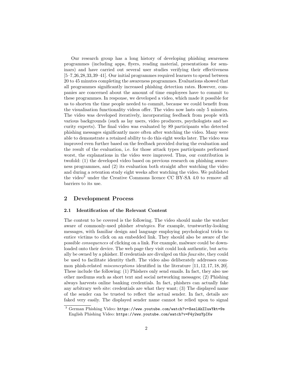Our research group has a long history of developing phishing awareness programmes (including apps, flyers, reading material, presentations for seminars) and have carried out several user studies verifying their effectiveness [5–7,26,28,33,39–41]. Our initial programmes required learners to spend between 20 to 45 minutes completing the awareness programmes. Evaluations showed that all programmes significantly increased phishing detection rates. However, companies are concerned about the amount of time employees have to commit to these programmes. In response, we developed a video, which made it possible for us to shorten the time people needed to commit, because we could benefit from the visualisation functionality videos offer. The video now lasts only 5 minutes. The video was developed iteratively, incorporating feedback from people with various backgrounds (such as lay users, video producers, psychologists and security experts). The final video was evaluated by 89 participants who detected phishing messages significantly more often after watching the video. Many were able to demonstrate a retained ability to do this eight weeks later. The video was improved even further based on the feedback provided during the evaluation and the result of the evaluation, i.e. for those attack types participants performed worst, the explanations in the video were improved. Thus, our contribution is twofold: (1) the developed video based on previous research on phishing awareness programmes, and (2) its evaluation both straight after watching the video and during a retention study eight weeks after watching the video. We published the video<sup>3</sup> under the Creative Commons licence CC BY-SA 4.0 to remove all barriers to its use.

## 2 Development Process

#### 2.1 Identification of the Relevant Content

The content to be covered is the following. The video should make the watcher aware of commonly-used phisher strategies. For example, trustworthy-looking messages, with familiar design and language employing psychological tricks to entice victims to click on an embedded link. They should also be aware of the possible consequences of clicking on a link. For example, malware could be downloaded onto their device. The web page they visit could look authentic, but actually be owned by a phisher. If credentials are divulged on this faux site, they could be used to facilitate identity theft. The video also deliberately addresses common phish-related misconceptions identified in the literature [11, 12, 17, 18, 20]. These include the following: (1) Phishers only send emails. In fact, they also use other mediums such as short text and social networking messages; (2) Phishing always harvests online banking credentials. In fact, phishers can actually fake any arbitrary web site: credentials are what they want; (3) The displayed name of the sender can be trusted to reflect the actual sender. In fact, details are faked very easily. The displayed sender name cannot be relied upon to signal

<sup>3</sup> German Phishing Video: https://www.youtube.com/watch?v=XeslAkZIuwY&t=9s English Phishing Video: https://www.youtube.com/watch?v=F4y2wzYpIKw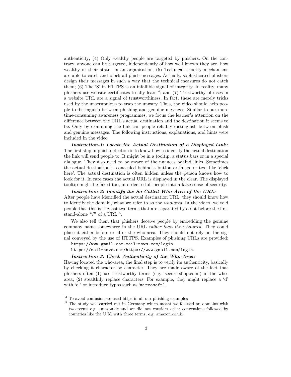authenticity; (4) Only wealthy people are targeted by phishers. On the contrary, anyone can be targeted, independently of how well known they are, how wealthy or their status in an organisation. (5) Technical security mechanisms are able to catch and block all phish messages. Actually, sophisticated phishers design their messages in such a way that the technical measures do not catch them; (6) The 'S' in HTTPS is an infallible signal of integrity. In reality, many phishers use website certificates to ally fears  $4$ ; and (7) Trustworthy phrases in a website URL are a signal of trustworthiness. In fact, these are merely tricks used by the unscrupulous to trap the unwary. Thus, the video should help people to distinguish between phishing and genuine messages. Similar to our more time-consuming awareness programmes, we focus the learner's attention on the difference between the URL's actual destination and the destination it seems to be. Only by examining the link can people reliably distinguish between phish and genuine messages. The following instructions, explanations, and hints were included in the video:

Instruction-1: Locate the Actual Destination of a Displayed Link: The first step in phish detection is to know how to identify the actual destination the link will send people to. It might be in a tooltip, a status bars or in a special dialogue. They also need to be aware of the nuances behind links. Sometimes the actual destination is concealed behind a button or image or text like 'click here'. The actual destination is often hidden unless the person knows how to look for it. In rare cases the actual URL is displayed in the clear. The displayed tooltip might be faked too, in order to lull people into a false sense of security.

Instruction-2: Identify the So-Called Who-Area of the URL: After people have identified the actual destination URL, they should know how to identify the domain, what we refer to as the who-area. In the video, we told people that this is the last two terms that are separated by a dot before the first stand-alone "/" of a URL  $^5$ .

We also tell them that phishers deceive people by embedding the genuine company name somewhere in the URL rather than the who-area. They could place it either before or after the who-area. They should not rely on the signal conveyed by the use of HTTPS. Examples of phishing URLs are provided:

```
https://www.gmail.com.mail-nows.com/login
```
https://mail-nows.com/https://www.gmail.com/login.

# Instruction 3: Check Authenticity of the Who-Area:

Having located the who-area, the final step is to verify its authenticity, basically by checking it character by character. They are made aware of the fact that phishers often (1) use trustworthy terms (e.g. 'secure-shop.com') in the whoarea; (2) stealthily replace characters. For example, they might replace a 'd' with 'cI' or introduce typos such as 'mircosoft'.

<sup>4</sup> To avoid confusion we used https in all our phishing examples

<sup>&</sup>lt;sup>5</sup> The study was carried out in Germany which meant we focused on domains with two terms e.g. amazon.de and we did not consider other conventions followed by countries like the U.K. with three terms, e.g. amazon.co.uk.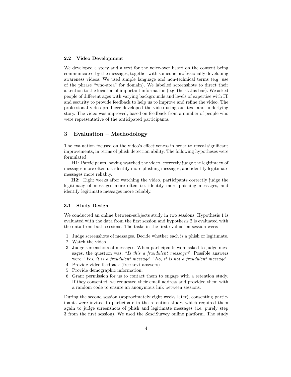#### 2.2 Video Development

We developed a story and a text for the voice-over based on the content being communicated by the messages, together with someone professionally developing awareness videos. We used simple language and non-technical terms (e.g. use of the phrase "who-area" for domain). We labelled screenshots to direct their attention to the location of important information (e.g. the status bar). We asked people of different ages with varying backgrounds and levels of expertise with IT and security to provide feedback to help us to improve and refine the video. The professional video producer developed the video using our text and underlying story. The video was improved, based on feedback from a number of people who were representative of the anticipated participants.

# 3 Evaluation – Methodology

The evaluation focused on the video's effectiveness in order to reveal significant improvements, in terms of phish detection ability. The following hypotheses were formulated:

H1: Participants, having watched the video, correctly judge the legitimacy of messages more often i.e. identify more phishing messages, and identify legitimate messages more reliably.

H2: Eight weeks after watching the video, participants correctly judge the legitimacy of messages more often i.e. identify more phishing messages, and identify legitimate messages more reliably.

#### 3.1 Study Design

We conducted an online between-subjects study in two sessions. Hypothesis 1 is evaluated with the data from the first session and hypothesis 2 is evaluated with the data from both sessions. The tasks in the first evaluation session were:

- 1. Judge screenshots of messages. Decide whether each is a phish or legitimate.
- 2. Watch the video.
- 3. Judge screenshots of messages. When participants were asked to judge messages, the question was: "Is this a fraudulent message?'. Possible answers were: 'Yes, it is a fraudulent message'. 'No, it is not a fraudulent message'.
- 4. Provide video feedback (free text answers).
- 5. Provide demographic information.
- 6. Grant permission for us to contact them to engage with a retention study. If they consented, we requested their email address and provided them with a random code to ensure an anonymous link between sessions.

During the second session (approximately eight weeks later), consenting participants were invited to participate in the retention study, which required them again to judge screenshots of phish and legitimate messages (i.e. purely step 3 from the first session). We used the SosciSurvey online platform. The study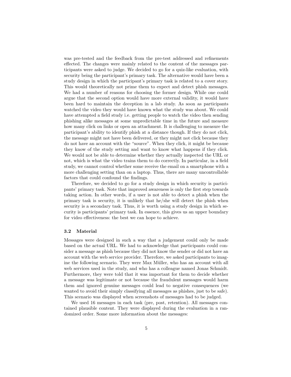was pre-tested and the feedback from the pre-test addressed and refinements effected. The changes were mainly related to the content of the messages participants were asked to judge. We decided to go for a quiz-like evaluation, with security being the participant's primary task. The alternative would have been a study design in which the participant's primary task is related to a cover story. This would theoretically not prime them to expect and detect phish messages. We had a number of reasons for choosing the former design. While one could argue that the second option would have more external validity, it would have been hard to maintain the deception in a lab study. As soon as participants watched the video they would have known what the study was about. We could have attempted a field study i.e. getting people to watch the video then sending phishing alike messages at some unpredictable time in the future and measure how many click on links or open an attachment. It is challenging to measure the participant's ability to identify phish at a distance though. If they do not click, the message might not have been delivered, or they might not click because they do not have an account with the "source". When they click, it might be because they know of the study setting and want to know what happens if they click. We would not be able to determine whether they actually inspected the URL or not, which is what the video trains them to do correctly. In particular, in a field study, we cannot control whether some receive the email on a smartphone with a more challenging setting than on a laptop. Thus, there are many uncontrollable factors that could confound the findings.

Therefore, we decided to go for a study design in which security is participants' primary task. Note that improved awareness is only the first step towards taking action. In other words, if a user is not able to detect a phish when the primary task is security, it is unlikely that he/she will detect the phish when security is a secondary task. Thus, it is worth using a study design in which security is participants' primary task. In essence, this gives us an upper boundary for video effectiveness: the best we can hope to achieve.

#### 3.2 Material

Messages were designed in such a way that a judgement could only be made based on the actual URL. We had to acknowledge that participants could consider a message as phish because they did not know the sender or did not have an account with the web service provider. Therefore, we asked participants to imagine the following scenario. They were Max Müller, who has an account with all web services used in the study, and who has a colleague named Jonas Schmidt. Furthermore, they were told that it was important for them to decide whether a message was legitimate or not because the fraudulent messages would harm them and ignored genuine messages could lead to negative consequences (we wanted to avoid their simply classifying all messages as phishes, just to be safe). This scenario was displayed when screenshots of messages had to be judged.

We used 16 messages in each task (pre, post, retention). All messages contained plausible content. They were displayed during the evaluation in a randomized order. Some more information about the messages: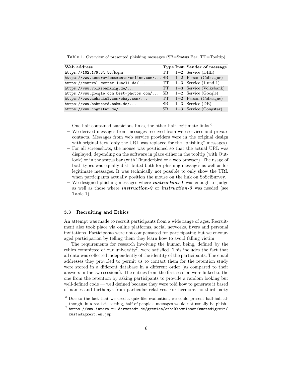Table 1. Overview of presented phishing messages (SB=Status Bar; TT=Tooltip)

| Web address                                 |           | Type Inst. Sender of message       |
|---------------------------------------------|-----------|------------------------------------|
| https://162.179.34.56/login                 | TТ        | $1+2$ Service (DHL)                |
| https://www.secure-documents-online.com/ SB |           | $1+2$ Person (Colleague)           |
| https://control-center.1uncl1.de/           | TT.       | $1+3$ Service $(1 \text{ und } 1)$ |
| https://www.volksbanknig.de/                | <b>TT</b> | $1+3$ Service (Volksbank)          |
| https://www.google.com.best-photos.com/     | -SB       | $1+2$ Service (Google)             |
| https://www.zehrukol.com/ebay.com/          | <b>TT</b> | $1+2$ Person (Colleague)           |
| https://www.bahncard.bahm.de/               | SВ        | $1+3$ Service (DB)                 |
| https://www.cognstar.de/                    | SВ        | $1+3$ Service (Congstar)           |

– One half contained suspicious links, the other half legitimate links.<sup>6</sup>

- We derived messages from messages received from web services and private contacts. Messages from web service providers were in the original design with original text (only the URL was replaced for the "phishing" messages).
- For all screenshots, the mouse was positioned so that the actual URL was displayed, depending on the software in place either in the tooltip (with Outlook) or in the status bar (with Thunderbird or a web browser). The usage of both types was equally distributed both for phishing messages as well as for legitimate messages. It was technically not possible to only show the URL when participants actually position the mouse on the link on SoSciSurvey.
- We designed phishing messages where **instruction-1** was enough to judge as well as those where instruction-2 or instruction-3 was needed (see Table 1)

#### 3.3 Recruiting and Ethics

An attempt was made to recruit participants from a wide range of ages. Recruitment also took place via online platforms, social networks, flyers and personal invitations. Participants were not compensated for participating but we encouraged participation by telling them they learn how to avoid falling victim.

The requirements for research involving the human being, defined by the ethics committee of our university<sup>7</sup>, were satisfied. This includes the fact that all data was collected independently of the identity of the participants. The email addresses they provided to permit us to contact them for the retention study were stored in a different database in a different order (as compared to their answers in the two sessions). The entries from the first session were linked to the one from the retention by asking participants to provide a random looking but well-defined code — well defined because they were told how to generate it based of names and birthdays from particular relatives. Furthermore, no third party

 $\overline{6}$  Due to the fact that we used a quiz-like evaluation, we could present half-half although, in a realistic setting, half of people's messages would not usually be phish.

 $^7$  https://www.intern.tu-darmstadt.de/gremien/ethikkommisson/zustndigkeit/ zustndigkeit.en.jsp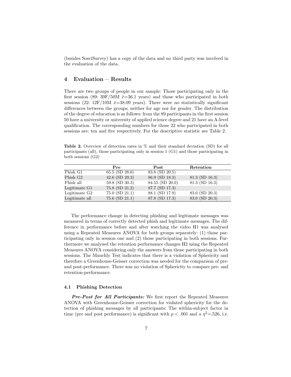(besides SosciSurvey) has a copy of the data and no third party was involved in the evaluation of the data.

# 4 Evaluation – Results

There are two groups of people in our sample: Those participating only in the first session (89: 39F/50M  $\bar{x}=36.1$  years) and those who participated in both sessions (22:  $12F/10M \bar{x}=38.09$  years). There were no statistically significant differences between the groups; neither for age nor for gender. The distribution of the degree of education is as follows: from the 89 participants in the first session 50 have a university or university of applied science degree and 21 have an A-level qualification. The corresponding numbers for those 22 who participated in both sessions are: ten and five respectively. For the descriptive statistic see Table 2.

Table 2. Overview of detection rates in  $\%$  and their standard deviation (SD) for all participants (all), those participating only in session 1 (G1) and those participating in both sessions (G2)

|                      | Pre                 | Post             | Retention        |
|----------------------|---------------------|------------------|------------------|
| Phish G1             | 65.5 (SD 28.6)      | $83.8$ (SD 20.5) |                  |
| Phish G <sub>2</sub> | 42.6 (SD $29.3$ )   | 86.9 (SD 18.3)   | $81.3$ (SD 16.3) |
| Phish all            | 59.8 (SD 30.3)      | 84.55 (SD 20.0)  | 81.3 (SD 16.3)   |
| Legitimate G1        | 75.8 (SD 21.2)      | 87.7 (SD 17.3)   |                  |
| Legitimate G2        | $75.0$ (SD $21.1$ ) | 88.1 (SD 17.9)   | 83.0 (SD 20.3)   |
| Legitimate all       | $75.6$ (SD $21.1$ ) | 87.8 (SD 17.3)   | 83.0 (SD 20.3)   |

The performance change in detecting phishing and legitimate messages was measured in terms of correctly detected phish and legitimate messages. The difference in performance before and after watching the video H1 was analysed using a Repeated Measures ANOVA for both groups separately: (1) those participating only in session one and (2) those participating in both sessions. Furthermore we analysed the retention performance changes H2 using the Repeated Measures ANOVA considering only the answers from those participating in both sessions. The Mauchly Test indicates that there is a violation of Sphericity and therefore a Greenhouse-Geisser correction was needed for the comparison of preand post-performance. There was no violation of Sphericity to compare pre- and retention-performance.

#### 4.1 Phishing Detection

**Pre-Post for All Participants:** We first report the Repeated Measures ANOVA with Greenhouse-Geisser correction for violated sphericity for the detection of phishing messages by all participants: The within-subject factor in time (pre and post performance) is significant with  $p < .001$  and a  $\eta^2 = .526$ , i.e.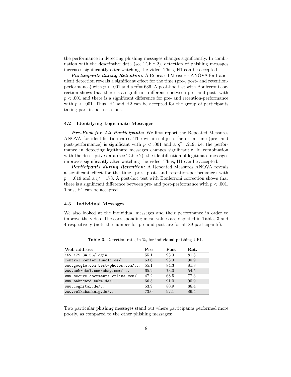the performance in detecting phishing messages changes significantly. In combination with the descriptive data (see Table 2), detection of phishing messages increases significantly after watching the video. Thus, H1 can be accepted.

Participants during Retention: A Repeated Measures ANOVA for fraudulent detection reveals a significant effect for the time (pre-, post- and retentionperformance) with  $p < .001$  and a  $\eta^2 = .636$ . A post-hoc test with Bonferroni correction shows that there is a significant difference between pre- and post- with  $p < .001$  and there is a significant difference for pre- and retention-performance with  $p < .001$ . Thus, H<sub>1</sub> and H<sub>2</sub> can be accepted for the group of participants taking part in both sessions.

#### 4.2 Identifying Legitimate Messages

**Pre-Post for All Participants:** We first report the Repeated Measures ANOVA for identification rates. The within-subjects factor in time (pre- and post-performance) is significant with  $p < .001$  and a  $\eta^2 = .219$ , i.e. the performance in detecting legitimate messages changes significantly. In combination with the descriptive data (see Table 2), the identification of legitimate messages improves significantly after watching the video. Thus, H1 can be accepted.

Participants during Retention: A Repeated Measures ANOVA reveals a significant effect for the time (pre-, post- and retention-performance) with  $p = .019$  and a  $\eta^2 = .173$ . A post-hoc test with Bonferroni correction shows that there is a significant difference between pre- and post-performance with  $p < .001$ . Thus, H1 can be accepted.

#### 4.3 Individual Messages

We also looked at the individual messages and their performance in order to improve the video. The corresponding mean values are depicted in Tables 3 and 4 respectively (note the number for pre and post are for all 89 participants).

| Web address                             | Pre  | Post | Ret. |
|-----------------------------------------|------|------|------|
| 162.179.34.56/login                     | 55.1 | 93.3 | 81.8 |
| control-center.1uncl1.de/               | 63.6 | 93.3 | 90.9 |
| www.google.com.best-photos.com/         | 55.1 | 84.3 | 81.8 |
| www.zehrukol.com/ebay.com/              | 65.2 | 73.0 | 54.5 |
| www.secure-documents-online.com/ $47.2$ |      | 68.5 | 77.3 |
| www.bahncard.bahn.de/                   | 66.3 | 91.0 | 90.9 |
| www.cognstar.de/                        | 53.9 | 80.9 | 86.4 |
| www.volksbanknig.de/                    | 73.0 | 92.1 | 86.4 |

**Table 3.** Detection rate, in  $\%$ , for individual phishing URLs

Two particular phishing messages stand out where participants performed more poorly, as compared to the other phishing messages: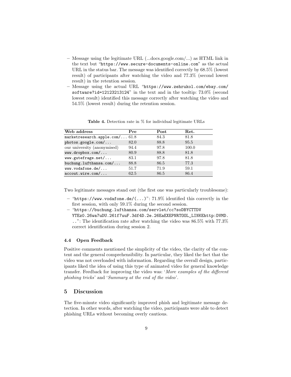- Message using the legitimate URL (...docs.google.com/...) as HTML link in the text but "https://www.secure-documents-online.com" as the actual URL in the status bar. The message was identified correctly by 68.5% (lowest result) of participants after watching the video and 77.3% (second lowest result) in the retention session.
- Message using the actual URL "https://www.zehrukol.com/ebay.com/ software?id=12123213124" in the text and in the tooltip: 73.0% (second lowest result) identified this message correctly after watching the video and 54.5% (lowest result) during the retention session.

| Web address                      | Pre  | Post | Ret.  |
|----------------------------------|------|------|-------|
| marketresearch.apple.com/ $61.8$ |      | 84.3 | 81.8  |
| photos.google.com/               | 82.0 | 88.8 | 95.5  |
| our university (anonymised)      | 94.4 | 97.8 | 100.0 |
| www.drophox.com/                 | 80.9 | 88.8 | 81.8  |
| www.gutefrage.net/               | 83.1 | 97.8 | 81.8  |
| $buchung.$ lufthansa.com/        | 88.8 | 86.5 | 77.3  |
| www.vodafone.de/                 | 51.7 | 71.9 | 59.1  |
| $\text{account.wire.com}/\ldots$ | 62.5 | 86.5 | 86.4  |

Table 4. Detection rate in % for individual legitimate URLs

Two legitimate messages stand out (the first one was particularly troublesome):

- "https://www.vodafone.de/(...)":  $71.9\%$  identified this correctly in the first session, with only 59.1% during the second session.
- "https://buchung.lufthansa.com/servlet/cc?soDBYCTTDV
- YTEz0.26wa7uDU.261f7uuF.3df4D.2e.26EaEXEPNRTOOL\_LINKEhttp:DVMD. ..": The identification rate after watching the video was 86.5% with 77.3% correct identification during session 2.

#### 4.4 Open Feedback

Positive comments mentioned the simplicity of the video, the clarity of the content and the general comprehensibility. In particular, they liked the fact that the video was not overloaded with information. Regarding the overall design, participants liked the idea of using this type of animated video for general knowledge transfer. Feedback for improving the video was: 'More examples of the different phishing tricks' and 'Summary at the end of the video'.

# 5 Discussion

The five-minute video significantly improved phish and legitimate message detection. In other words, after watching the video, participants were able to detect phishing URLs without becoming overly cautious.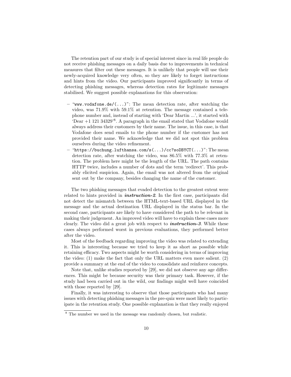The retention part of our study is of special interest since in real life people do not receive phishing messages on a daily basis due to improvements in technical measures that filter out these messages. It is unlikely that people will use their newly-acquired knowledge very often, so they are likely to forget instructions and hints from the video. Our participants improved significantly in terms of detecting phishing messages, whereas detection rates for legitimate messages stabilised. We suggest possible explanations for this observation:

- "www.vodafone.de/ $(\ldots)$ ": The mean detection rate, after watching the video, was 71.9% with 59.1% at retention. The message contained a telephone number and, instead of starting with 'Dear Martin ...', it started with 'Dear +1 121 34329'<sup>8</sup> . A paragraph in the email stated that Vodafone would always address their customers by their name. The issue, in this case, is that Vodafone does send emails to the phone number if the customer has not provided their name. We acknowledge that we did not spot this problem ourselves during the video refinement.
- $"https://buchung.lufthansa.com/s(...)/cc?soDBYCT(...)": The mean$ detection rate, after watching the video, was 86.5% with 77.3% at retention. The problem here might be the length of the URL. The path contains HTTP twice, includes a number of dots and the term 'redirect'. This probably elicited suspicion. Again, the email was not altered from the original sent out by the company, besides changing the name of the customer.

The two phishing messages that evaded detection to the greatest extent were related to hints provided in **instruction-2**. In the first case, participants did not detect the mismatch between the HTML-text-based URL displayed in the message and the actual destination URL displayed in the status bar. In the second case, participants are likely to have considered the path to be relevant in making their judgement. An improved video will have to explain these cases more clearly. The video did a great job with respect to *instruction-3*. While these cases always performed worst in previous evaluations, they performed better after the video.

Most of the feedback regarding improving the video was related to extending it. This is interesting because we tried to keep it as short as possible while retaining efficacy. Two aspects might be worth considering in terms of improving the video: (1) make the fact that only the URL matters even more salient. (2) provide a summary at the end of the video to consolidate and reinforce concepts.

Note that, unlike studies reported by [29], we did not observe any age differences. This might be because security was their primary task. However, if the study had been carried out in the wild, our findings might well have coincided with those reported by [29].

Finally, it was interesting to observe that those participants who had many issues with detecting phishing messages in the pre-quiz were most likely to participate in the retention study. One possible explanation is that they really enjoyed

<sup>8</sup> The number we used in the message was randomly chosen, but realistic.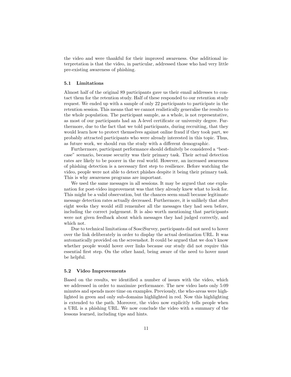the video and were thankful for their improved awareness. One additional interpretation is that the video, in particular, addressed those who had very little pre-existing awareness of phishing.

#### 5.1 Limitations

Almost half of the original 89 participants gave us their email addresses to contact them for the retention study. Half of these responded to our retention study request. We ended up with a sample of only 22 participants to participate in the retention session. This means that we cannot realistically generalise the results to the whole population. The participant sample, as a whole, is not representative, as most of our participants had an A-level certificate or university degree. Furthermore, due to the fact that we told participants, during recruiting, that they would learn how to protect themselves against online fraud if they took part, we probably attracted participants who were already interested in this topic. Thus, as future work, we should run the study with a different demographic.

Furthermore, participant performance should definitely be considered a "bestcase" scenario, because security was their primary task. Their actual detection rates are likely to be poorer in the real world. However, an increased awareness of phishing detection is a necessary first step to resilience. Before watching the video, people were not able to detect phishes despite it being their primary task. This is why awareness programs are important.

We used the same messages in all sessions. It may be argued that one explanation for post-video improvement was that they already knew what to look for. This might be a valid observation, but the chances seem small because legitimate message detection rates actually decreased. Furthermore, it is unlikely that after eight weeks they would still remember all the messages they had seen before, including the correct judgement. It is also worth mentioning that participants were not given feedback about which messages they had judged correctly, and which not.

Due to technical limitations of SosciSurvey, participants did not need to hover over the link deliberately in order to display the actual destination URL. It was automatically provided on the screenshot. It could be argued that we don't know whether people would hover over links because our study did not require this essential first step. On the other hand, being aware of the need to hover must be helpful.

#### 5.2 Video Improvements

Based on the results, we identified a number of issues with the video, which we addressed in order to maximize performance. The new video lasts only 5:09 minutes and spends more time on examples. Previously, the who-areas were highlighted in green and only sub-domains highlighted in red. Now this highlighting is extended to the path. Moreover, the video now explicitly tells people when a URL is a phishing URL. We now conclude the video with a summary of the lessons learned, including tips and hints.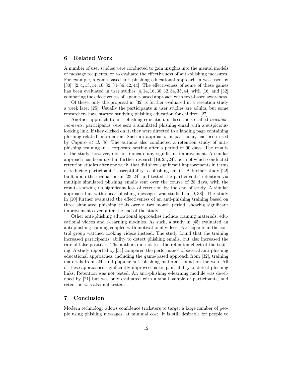## 6 Related Work

A number of user studies were conducted to gain insights into the mental models of message recipients, or to evaluate the effectiveness of anti-phishing measures. For example, a game-based anti-phishing educational approach in was used by [30], [2, 4, 13, 14, 16, 32, 34–36, 42, 44]. The effectiveness of some of these games has been evaluated in user studies [4, 14, 16, 30, 32, 34, 35, 44] with [16] and [32] comparing the effectiveness of a game-based approach with text-based awareness.

Of these, only the proposal in [32] is further evaluated in a retention study a week later [25]. Usually the participants in user studies are adults, but some researchers have started studying phishing education for children [27].

Another approach to anti-phishing education, utilises the so-called teachable moments: participants were sent a simulated phishing email with a suspiciouslooking link. If they clicked on it, they were directed to a landing page containing phishing-related information. Such an approach, in particular, has been used by Caputo *et al.* [8]. The authors also conducted a retention study of antiphishing training in a corporate setting after a period of 90 days. The results of the study, however, did not indicate any significant improvement. A similar approach has been used in further research [19, 23, 24], both of which conducted retention studies after one week, that did show significant improvements in terms of reducing participants' susceptibility to phishing emails. A further study [22] built upon the evaluation in [23, 24] and tested the participants' retention via multiple simulated phishing emails sent over the course of 28 days, with the results showing no significant loss of retention by the end of study. A similar approach but with spear phishing messages was studied in [9, 38]. The study in [10] further evaluated the effectiveness of an anti-phishing training based on three simulated phishing trials over a two month period, showing significant improvements even after the end of the study.

Other anti-phishing educational approaches include training materials, educational videos and e-learning modules. As such, a study in [45] evaluated an anti-phishing training coupled with motivational videos. Participants in the control group watched cooking videos instead. The study found that the training increased participants' ability to detect phishing emails, but also increased the rate of false positives. The authors did not test the retention effect of the training. A study reported by [31] compared the performance of several anti-phishing educational approaches, including the game-based approach from [32], training materials from [24] and popular anti-phishing materials found on the web. All of these approaches significantly improved participant ability to detect phishing links. Retention was not tested. An anti-phishing e-learning module was developed by [21] but was only evaluated with a small sample of participants, and retention was also not tested.

# 7 Conclusion

Modern technology allows confidence tricksters to target a large number of people using phishing messages, at minimal cost. It is still desirable for people to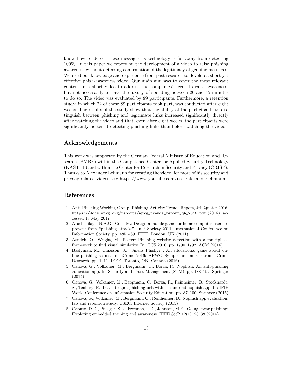know how to detect these messages as technology is far away from detecting 100%. In this paper we report on the development of a video to raise phishing awareness without deterring confirmation of the legitimacy of genuine messages. We used our knowledge and experience from past research to develop a short yet effective phish-awareness video. Our main aim was to cover the most relevant content in a short video to address the companies' needs to raise awareness, but not necessarily to have the luxury of spending between 20 and 45 minutes to do so. The video was evaluated by 89 participants. Furthermore, a retention study, in which 22 of these 89 participants took part, was conducted after eight weeks. The results of the study show that the ability of the participants to distinguish between phishing and legitimate links increased significantly directly after watching the video and that, even after eight weeks, the participants were significantly better at detecting phishing links than before watching the video.

# Acknowledgements

This work was supported by the German Federal Ministry of Education and Research (BMBF) within the Competence Center for Applied Security Technology (KASTEL) and within the Center for Research in Security and Privacy (CRISP). Thanks to Alexander Lehmann for creating the video; for more of his security and privacy related videos see: https://www.youtube.com/user/alexanderlehmann

# References

- 1. Anti-Phishing Working Group: Phishing Activity Trends Report, 4th Quater 2016. https://docs.apwg.org/reports/apwg\_trends\_report\_q4\_2016.pdf (2016), accessed 18 May 2017
- 2. Arachchilage, N.A.G., Cole, M.: Design a mobile game for home computer users to prevent from "phishing attacks". In: i-Society 2011: International Conference on Information Society. pp. 485–489. IEEE, London, UK (2011)
- 3. Asudeh, O., Wright, M.: Poster: Phishing website detection with a multiphase framework to find visual similarity. In: CCS 2016. pp. 1790–1792. ACM (2016)
- 4. Baslyman, M., Chiasson, S.: "Smells Phishy?": An educational game about online phishing scams. In: eCrime 2016: APWG Symposium on Electronic Crime Research. pp. 1–11. IEEE, Toronto, ON, Canada (2016)
- 5. Canova, G., Volkamer, M., Bergmann, C., Borza, R.: Nophish: An anti-phishing education app. In: Security and Trust Management (STM). pp. 188–192. Springer (2014)
- 6. Canova, G., Volkamer, M., Bergmann, C., Borza, R., Reinheimer, B., Stockhardt, S., Tenberg, R.: Learn to spot phishing urls with the android nophish app. In: IFIP World Conference on Information Security Education. pp. 87–100. Springer (2015)
- 7. Canova, G., Volkamer, M., Bergmann, C., Reinheimer, B.: Nophish app evaluation: lab and retention study. USEC. Internet Society (2015)
- 8. Caputo, D.D., Pfleeger, S.L., Freeman, J.D., Johnson, M.E.: Going spear phishing: Exploring embedded training and awareness. IEEE S&P 12(1), 28–38 (2014)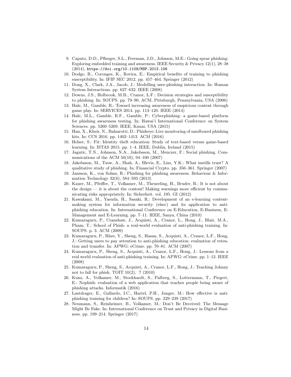- 9. Caputo, D.D., Pfleeger, S.L., Freeman, J.D., Johnson, M.E.: Going spear phishing: Exploring embedded training and awareness. IEEE Security & Privacy 12(1), 28–38 (2014), https://doi.org/10.1109/MSP.2013.106
- 10. Dodge, R., Coronges, K., Rovira, E.: Empirical benefits of training to phishing susceptibility. In: IFIP SEC 2012. pp. 457–464. Springer (2012)
- 11. Dong, X., Clark, J.A., Jacob, J.: Modelling user-phishing interaction. In: Human System Interactions. pp. 627–632. IEEE (2008)
- 12. Downs, J.S., Holbrook, M.B., Cranor, L.F.: Decision strategies and susceptibility to phishing. In: SOUPS. pp. 79–90. ACM, Pittsburgh, Pennsylvania, USA (2006)
- 13. Hale, M., Gamble, R.: Toward increasing awareness of suspicious content through game play. In: SERVICES 2014. pp. 113–120. IEEE (2014)
- 14. Hale, M.L., Gamble, R.F., Gamble, P.: Cyberphishing: a game-based platform for phishing awareness testing. In: Hawai'i International Conference on System Sciences. pp. 5260–5269. IEEE, Kauai, USA (2015)
- 15. Han, X., Kheir, N., Balzarotti, D.: Phisheye: Live monitoring of sandboxed phishing kits. In: CCS 2016. pp. 1402–1413. ACM (2016)
- 16. Helser, S.: Fit: Identity theft education: Study of text-based versus game-based learning. In: ISTAS 2015. pp. 1–4. IEEE, Dublin, Ireland (2015)
- 17. Jagatic, T.N., Johnson, N.A., Jakobsson, M., Menczer, F.: Social phishing. Communications of the ACM 50(10), 94–100 (2007)
- 18. Jakobsson, M., Tsow, A., Shah, A., Blevis, E., Lim, Y.K.: What instills trust? A qualitative study of phishing. In: Financial Crypto. pp. 356–361. Springer (2007)
- 19. Jansson, K., von Solms, R.: Phishing for phishing awareness. Behaviour & Information Technology 32(6), 584–593 (2013)
- 20. Kauer, M., Pfeiffer, T., Volkamer, M., Theuerling, H., Bruder, R.: It is not about the design — it is about the content! Making warnings more efficient by communicating risks appropriately. In: Sicherheit. vol. 195. GI (2012)
- 21. Kawakami, M., Yasuda, H., Sasaki, R.: Development of an e-learning contentmaking system for information security (elsec) and its application to antiphishing education. In: International Conference on E-Education, E-Business, E-Management and E-Learning. pp. 7–11. IEEE, Sanya, China (2010)
- 22. Kumaraguru, P., Cranshaw, J., Acquisti, A., Cranor, L., Hong, J., Blair, M.A., Pham, T.: School of Phish: a real-world evaluation of anti-phishing training. In: SOUPS. p. 3. ACM (2009)
- 23. Kumaraguru, P., Rhee, Y., Sheng, S., Hasan, S., Acquisti, A., Cranor, L.F., Hong, J.: Getting users to pay attention to anti-phishing education: evaluation of retention and transfer. In: APWG: eCrime. pp. 70–81. ACM (2007)
- 24. Kumaraguru, P., Sheng, S., Acquisti, A., Cranor, L.F., Hong, J.: Lessons from a real world evaluation of anti-phishing training. In: APWG: eCrime. pp. 1–12. IEEE (2008)
- 25. Kumaraguru, P., Sheng, S., Acquisti, A., Cranor, L.F., Hong, J.: Teaching Johnny not to fall for phish. TOIT  $10(2)$ , 7  $(2010)$
- 26. Kunz, A., Volkamer, M., Stockhardt, S., Palberg, S., Lottermann, T., Piegert, E.: Nophish: evaluation of a web application that teaches people being aware of phishing attacks. Informatik (2016)
- 27. Lastdrager, E., Gallardo, I.C., Hartel, P.H., Junger, M.: How effective is antiphishing training for children? In: SOUPS. pp. 229–239 (2017)
- 28. Neumann, S., Reinheimer, B., Volkamer, M.: Don't Be Deceived: The Message Might Be Fake. In: International Conference on Trust and Privacy in Digital Business. pp. 199–214. Springer (2017)